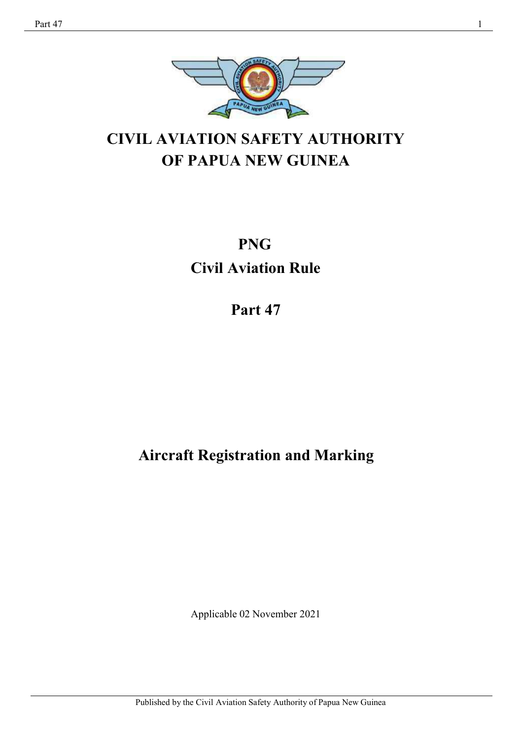

# **CIVIL AVIATION SAFETY AUTHORITY OF PAPUA NEW GUINEA**

# **PNG Civil Aviation Rule**

**Part 47**

# **Aircraft Registration and Marking**

Applicable 02 November 2021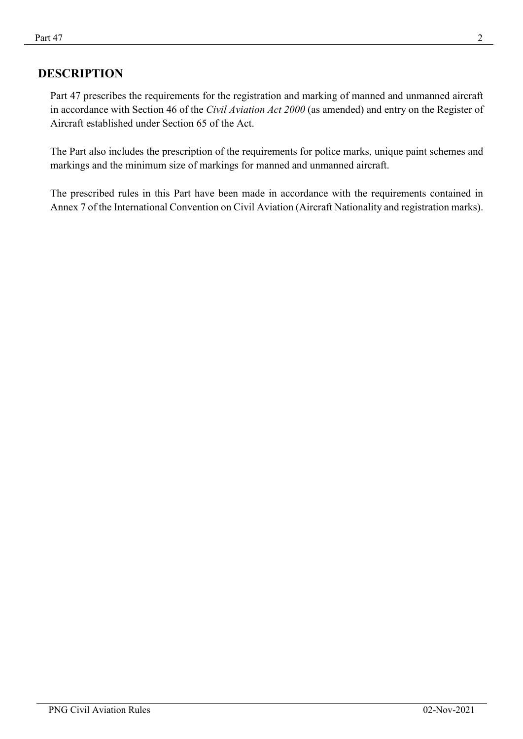## **DESCRIPTION**

Part 47 prescribes the requirements for the registration and marking of manned and unmanned aircraft in accordance with Section 46 of the *Civil Aviation Act 2000* (as amended) and entry on the Register of Aircraft established under Section 65 of the Act.

The Part also includes the prescription of the requirements for police marks, unique paint schemes and markings and the minimum size of markings for manned and unmanned aircraft.

The prescribed rules in this Part have been made in accordance with the requirements contained in Annex 7 of the International Convention on Civil Aviation (Aircraft Nationality and registration marks).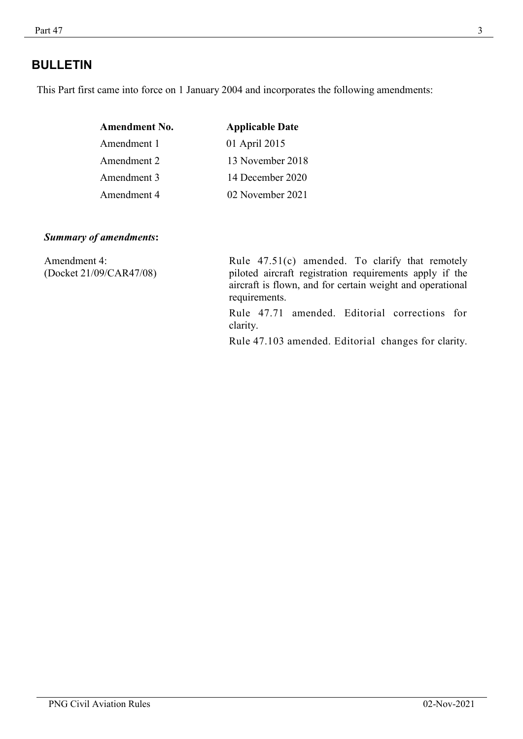## **BULLETIN**

This Part first came into force on 1 January 2004 and incorporates the following amendments:

| <b>Amendment No.</b> | <b>Applicable Date</b> |
|----------------------|------------------------|
| Amendment 1          | 01 April 2015          |
| Amendment 2          | 13 November 2018       |
| Amendment 3          | 14 December 2020       |
| Amendment 4          | 02 November 2021       |

#### *Summary of amendments***:**

Amendment 4: (Docket 21/09/CAR47/08) Rule 47.51(c) amended. To clarify that remotely piloted aircraft registration requirements apply if the aircraft is flown, and for certain weight and operational requirements.

Rule 47.71 amended. Editorial corrections for clarity.

Rule 47.103 amended. Editorial changes for clarity.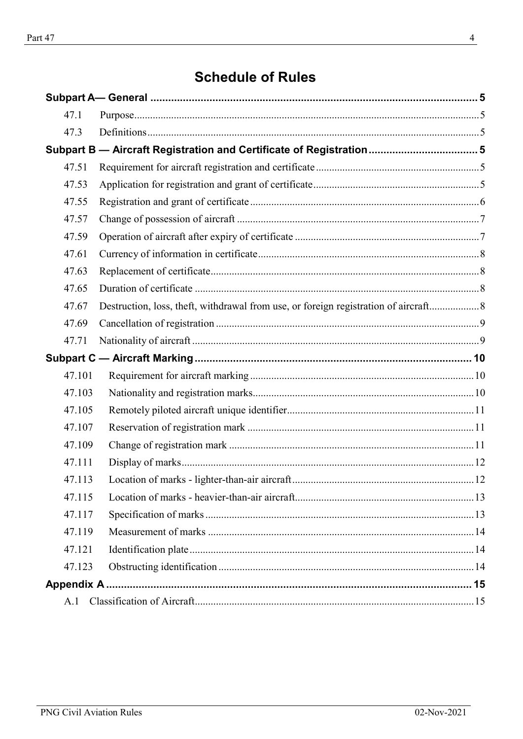# **Schedule of Rules**

| 47.1   |                                                                     |
|--------|---------------------------------------------------------------------|
| 47.3   |                                                                     |
|        |                                                                     |
| 47.51  |                                                                     |
| 47.53  |                                                                     |
| 47.55  |                                                                     |
| 47.57  |                                                                     |
| 47.59  |                                                                     |
| 47.61  |                                                                     |
| 47.63  |                                                                     |
| 47.65  |                                                                     |
| 47.67  |                                                                     |
| 47.69  |                                                                     |
|        |                                                                     |
| 47.71  |                                                                     |
|        |                                                                     |
| 47.101 |                                                                     |
| 47.103 |                                                                     |
| 47.105 |                                                                     |
| 47.107 |                                                                     |
| 47.109 |                                                                     |
| 47.111 |                                                                     |
| 47.113 |                                                                     |
| 47.115 |                                                                     |
| 47.117 |                                                                     |
| 47.119 |                                                                     |
| 47.121 |                                                                     |
| 47.123 |                                                                     |
|        |                                                                     |
|        | Subpart B - Aircraft Registration and Certificate of Registration 5 |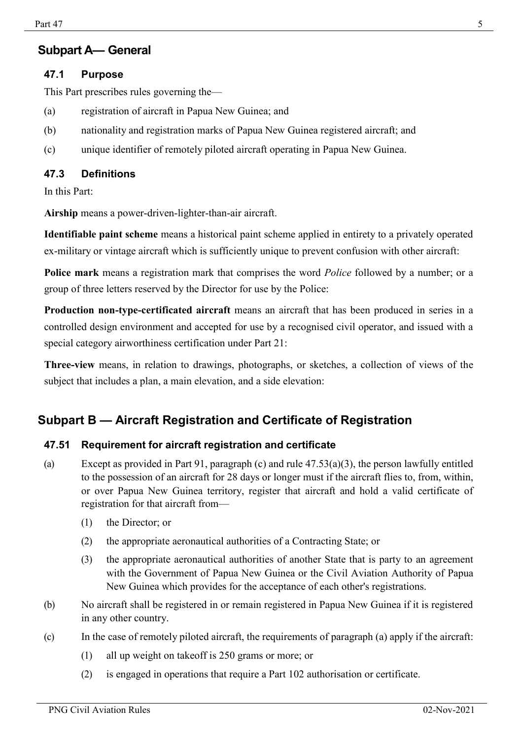## <span id="page-4-0"></span>**Subpart A— General**

## <span id="page-4-1"></span>**47.1 Purpose**

This Part prescribes rules governing the—

- (a) registration of aircraft in Papua New Guinea; and
- (b) nationality and registration marks of Papua New Guinea registered aircraft; and
- (c) unique identifier of remotely piloted aircraft operating in Papua New Guinea.

## <span id="page-4-2"></span>**47.3 Definitions**

In this Part:

**Airship** means a power-driven-lighter-than-air aircraft.

**Identifiable paint scheme** means a historical paint scheme applied in entirety to a privately operated ex-military or vintage aircraft which is sufficiently unique to prevent confusion with other aircraft:

**Police mark** means a registration mark that comprises the word *Police* followed by a number; or a group of three letters reserved by the Director for use by the Police:

**Production non-type-certificated aircraft** means an aircraft that has been produced in series in a controlled design environment and accepted for use by a recognised civil operator, and issued with a special category airworthiness certification under Part 21:

**Three-view** means, in relation to drawings, photographs, or sketches, a collection of views of the subject that includes a plan, a main elevation, and a side elevation:

# <span id="page-4-3"></span>**Subpart B — Aircraft Registration and Certificate of Registration**

## <span id="page-4-4"></span>**47.51 Requirement for aircraft registration and certificate**

- (a) Except as provided in Part 91, paragraph (c) and rule 47.53(a)(3), the person lawfully entitled to the possession of an aircraft for 28 days or longer must if the aircraft flies to, from, within, or over Papua New Guinea territory, register that aircraft and hold a valid certificate of registration for that aircraft from—
	- (1) the Director; or
	- (2) the appropriate aeronautical authorities of a Contracting State; or
	- (3) the appropriate aeronautical authorities of another State that is party to an agreement with the Government of Papua New Guinea or the Civil Aviation Authority of Papua New Guinea which provides for the acceptance of each other's registrations.
- (b) No aircraft shall be registered in or remain registered in Papua New Guinea if it is registered in any other country.
- (c) In the case of remotely piloted aircraft, the requirements of paragraph (a) apply if the aircraft:
	- (1) all up weight on takeoff is 250 grams or more; or
	- (2) is engaged in operations that require a Part 102 authorisation or certificate.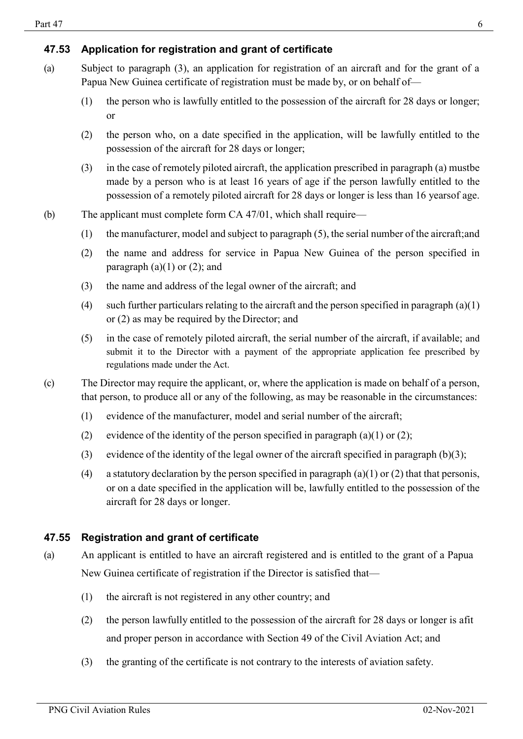## <span id="page-5-0"></span>**47.53 Application for registration and grant of certificate**

- (a) Subject to paragraph (3), an application for registration of an aircraft and for the grant of a Papua New Guinea certificate of registration must be made by, or on behalf of—
	- (1) the person who is lawfully entitled to the possession of the aircraft for 28 days or longer; or
	- (2) the person who, on a date specified in the application, will be lawfully entitled to the possession of the aircraft for 28 days or longer;
	- (3) in the case of remotely piloted aircraft, the application prescribed in paragraph (a) mustbe made by a person who is at least 16 years of age if the person lawfully entitled to the possession of a remotely piloted aircraft for 28 days or longer is less than 16 yearsof age.
- (b) The applicant must complete form CA 47/01, which shall require—
	- (1) the manufacturer, model and subject to paragraph (5), the serial number of the aircraft;and
	- (2) the name and address for service in Papua New Guinea of the person specified in paragraph  $(a)(1)$  or  $(2)$ ; and
	- (3) the name and address of the legal owner of the aircraft; and
	- (4) such further particulars relating to the aircraft and the person specified in paragraph  $(a)(1)$ or (2) as may be required by the Director; and
	- (5) in the case of remotely piloted aircraft, the serial number of the aircraft, if available; and submit it to the Director with a payment of the appropriate application fee prescribed by regulations made under the Act.
- (c) The Director may require the applicant, or, where the application is made on behalf of a person, that person, to produce all or any of the following, as may be reasonable in the circumstances:
	- (1) evidence of the manufacturer, model and serial number of the aircraft;
	- (2) evidence of the identity of the person specified in paragraph (a)(1) or (2);
	- (3) evidence of the identity of the legal owner of the aircraft specified in paragraph  $(b)(3)$ ;
	- (4) a statutory declaration by the person specified in paragraph (a)(1) or (2) that that personis, or on a date specified in the application will be, lawfully entitled to the possession of the aircraft for 28 days or longer.

## <span id="page-5-1"></span>**47.55 Registration and grant of certificate**

- (a) An applicant is entitled to have an aircraft registered and is entitled to the grant of a Papua New Guinea certificate of registration if the Director is satisfied that—
	- (1) the aircraft is not registered in any other country; and
	- (2) the person lawfully entitled to the possession of the aircraft for 28 days or longer is afit and proper person in accordance with Section 49 of the Civil Aviation Act; and
	- (3) the granting of the certificate is not contrary to the interests of aviation safety.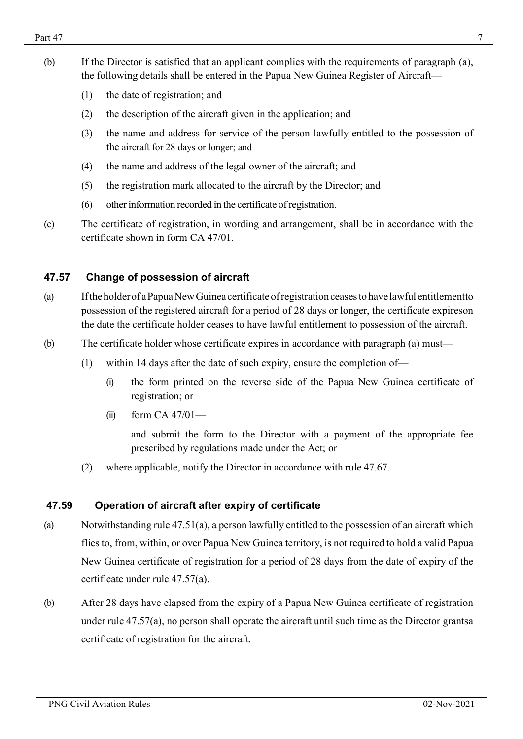- (b) If the Director is satisfied that an applicant complies with the requirements of paragraph (a), the following details shall be entered in the Papua New Guinea Register of Aircraft—
	- (1) the date of registration; and
	- (2) the description of the aircraft given in the application; and
	- (3) the name and address for service of the person lawfully entitled to the possession of the aircraft for 28 days or longer; and
	- (4) the name and address of the legal owner of the aircraft; and
	- (5) the registration mark allocated to the aircraft by the Director; and
	- (6) otherinformation recorded in the certificate of registration.
- (c) The certificate of registration, in wording and arrangement, shall be in accordance with the certificate shown in form CA 47/01.

## <span id="page-6-0"></span>**47.57 Change of possession of aircraft**

- (a) Iftheholderof aPapuaNewGuinea certificate ofregistration ceasesto have lawful entitlementto possession of the registered aircraft for a period of 28 days or longer, the certificate expireson the date the certificate holder ceases to have lawful entitlement to possession of the aircraft.
- (b) The certificate holder whose certificate expires in accordance with paragraph (a) must—
	- (1) within 14 days after the date of such expiry, ensure the completion of—
		- (i) the form printed on the reverse side of the Papua New Guinea certificate of registration; or
		- $(ii)$  form CA 47/01—

and submit the form to the Director with a payment of the appropriate fee prescribed by regulations made under the Act; or

(2) where applicable, notify the Director in accordance with rule 47.67.

#### <span id="page-6-1"></span>**47.59 Operation of aircraft after expiry of certificate**

- (a) Notwithstanding rule 47.51(a), a person lawfully entitled to the possession of an aircraft which flies to, from, within, or over Papua New Guinea territory, is not required to hold a valid Papua New Guinea certificate of registration for a period of 28 days from the date of expiry of the certificate under rule 47.57(a).
- (b) After 28 days have elapsed from the expiry of a Papua New Guinea certificate of registration under rule 47.57(a), no person shall operate the aircraft until such time as the Director grantsa certificate of registration for the aircraft.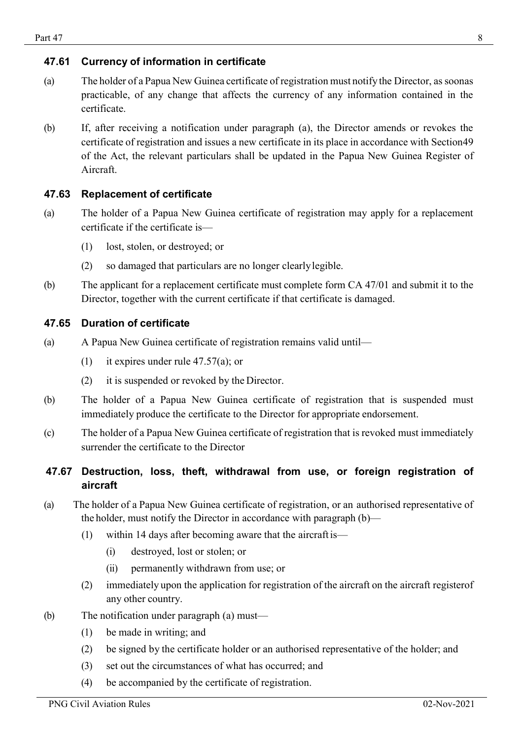## <span id="page-7-0"></span>**47.61 Currency of information in certificate**

- (a) The holder of a Papua New Guinea certificate of registration must notify the Director, assoonas practicable, of any change that affects the currency of any information contained in the certificate.
- <span id="page-7-4"></span>(b) If, after receiving a notification under paragraph (a), the Director amends or revokes the certificate of registration and issues a new certificate in its place in accordance with Section49 of the Act, the relevant particulars shall be updated in the Papua New Guinea Register of Aircraft.

## <span id="page-7-1"></span>**47.63 Replacement of certificate**

- (a) The holder of a Papua New Guinea certificate of registration may apply for a replacement certificate if the certificate is—
	- (1) lost, stolen, or destroyed; or
	- (2) so damaged that particulars are no longer clearlylegible.
- (b) The applicant for a replacement certificate must complete form CA 47/01 and submit it to the Director, together with the current certificate if that certificate is damaged.

#### <span id="page-7-2"></span>**47.65 Duration of certificate**

- (a) A Papua New Guinea certificate of registration remains valid until—
	- (1) it expires under rule 47.57(a); or
	- (2) it is suspended or revoked by the Director.
- (b) The holder of a Papua New Guinea certificate of registration that is suspended must immediately produce the certificate to the Director for appropriate endorsement.
- (c) The holder of a Papua New Guinea certificate of registration that is revoked must immediately surrender the certificate to the Director

## <span id="page-7-3"></span>**47.67 Destruction, loss, theft, withdrawal from use, or foreign registration of aircraft**

- (a) The holder of a Papua New Guinea certificate of registration, or an authorised representative of the holder, must notify the Director in accordance with paragraph (b)—
	- (1) within 14 days after becoming aware that the aircraft is—
		- (i) destroyed, lost or stolen; or
		- (ii) permanently withdrawn from use; or
	- (2) immediately upon the application for registration of the aircraft on the aircraft registerof any other country.
- (b) The notification under paragraph (a) must—
	- (1) be made in writing; and
	- (2) be signed by the certificate holder or an authorised representative of the holder; and
	- (3) set out the circumstances of what has occurred; and
	- (4) be accompanied by the certificate of registration.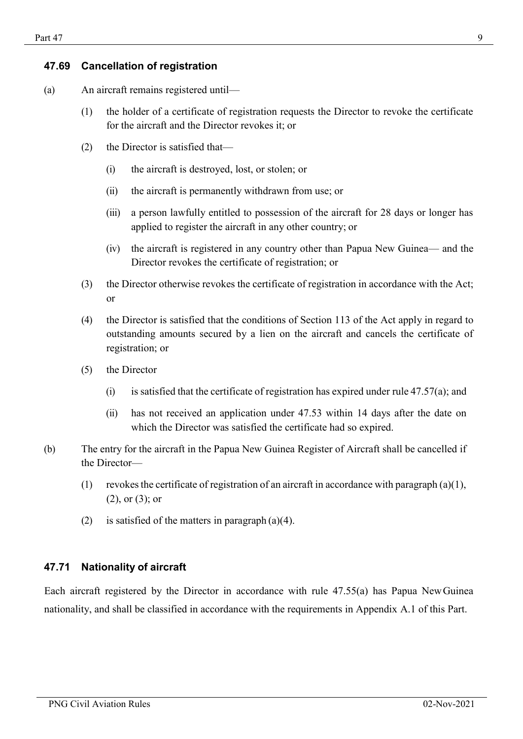#### **47.69 Cancellation of registration**

- (a) An aircraft remains registered until—
	- (1) the holder of a certificate of registration requests the Director to revoke the certificate for the aircraft and the Director revokes it; or
	- (2) the Director is satisfied that—
		- (i) the aircraft is destroyed, lost, or stolen; or
		- (ii) the aircraft is permanently withdrawn from use; or
		- (iii) a person lawfully entitled to possession of the aircraft for 28 days or longer has applied to register the aircraft in any other country; or
		- (iv) the aircraft is registered in any country other than Papua New Guinea— and the Director revokes the certificate of registration; or
	- (3) the Director otherwise revokes the certificate of registration in accordance with the Act; or
	- (4) the Director is satisfied that the conditions of Section 113 of the Act apply in regard to outstanding amounts secured by a lien on the aircraft and cancels the certificate of registration; or
	- (5) the Director
		- (i) is satisfied that the certificate of registration has expired under rule  $47.57(a)$ ; and
		- (ii) has not received an application under 47.53 within 14 days after the date on which the Director was satisfied the certificate had so expired.
- (b) The entry for the aircraft in the Papua New Guinea Register of Aircraft shall be cancelled if the Director—
	- (1) revokes the certificate of registration of an aircraft in accordance with paragraph (a)(1), (2), or (3); or
	- (2) is satisfied of the matters in paragraph  $(a)(4)$ .

#### <span id="page-8-0"></span>**47.71 Nationality of aircraft**

Each aircraft registered by the Director in accordance with rule 47.55(a) has Papua NewGuinea nationality, and shall be classified in accordance with the requirements in Appendix A.1 of this Part.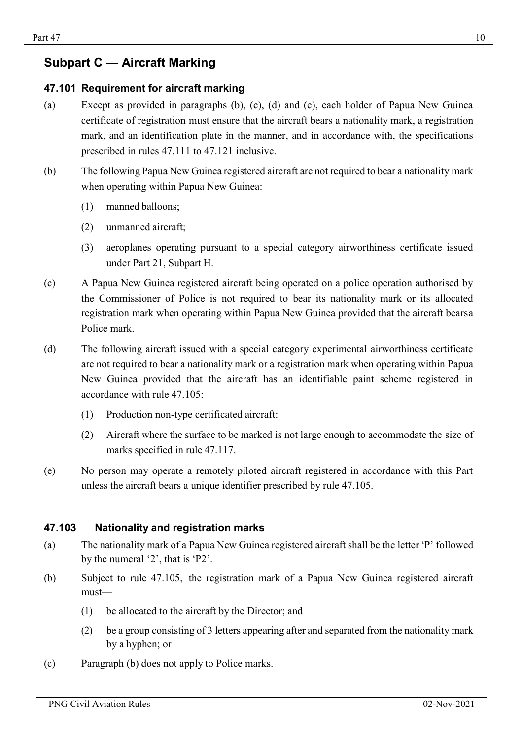# <span id="page-9-0"></span>**Subpart C — Aircraft Marking**

## <span id="page-9-1"></span>**47.101 Requirement for aircraft marking**

- (a) Except as provided in paragraphs (b), (c), (d) and (e), each holder of Papua New Guinea certificate of registration must ensure that the aircraft bears a nationality mark, a registration mark, and an identification plate in the manner, and in accordance with, the specifications prescribed in rules 47.111 to 47.121 inclusive.
- (b) The following Papua New Guinea registered aircraft are not required to bear a nationality mark when operating within Papua New Guinea:
	- (1) manned balloons;
	- (2) unmanned aircraft;
	- (3) aeroplanes operating pursuant to a special category airworthiness certificate issued under Part 21, Subpart H.
- (c) A Papua New Guinea registered aircraft being operated on a police operation authorised by the Commissioner of Police is not required to bear its nationality mark or its allocated registration mark when operating within Papua New Guinea provided that the aircraft bearsa Police mark.
- (d) The following aircraft issued with a special category experimental airworthiness certificate are not required to bear a nationality mark or a registration mark when operating within Papua New Guinea provided that the aircraft has an identifiable paint scheme registered in accordance with rule 47.105:
	- (1) Production non-type certificated aircraft:
	- (2) Aircraft where the surface to be marked is not large enough to accommodate the size of marks specified in rule 47.117.
- (e) No person may operate a remotely piloted aircraft registered in accordance with this Part unless the aircraft bears a unique identifier prescribed by rule 47.105.

#### <span id="page-9-2"></span>**47.103 Nationality and registration marks**

- (a) The nationality mark of a Papua New Guinea registered aircraft shall be the letter 'P' followed by the numeral '2', that is 'P2'.
- (b) Subject to rule 47.105, the registration mark of a Papua New Guinea registered aircraft must—
	- (1) be allocated to the aircraft by the Director; and
	- (2) be a group consisting of 3 letters appearing after and separated from the nationality mark by a hyphen; or
- (c) Paragraph (b) does not apply to Police marks.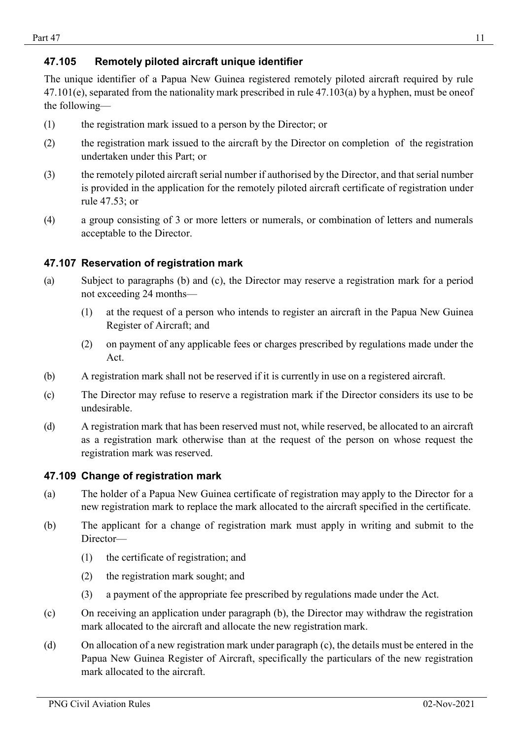## <span id="page-10-0"></span>**47.105 Remotely piloted aircraft unique identifier**

The unique identifier of a Papua New Guinea registered remotely piloted aircraft required by rule 47.101(e), separated from the nationality mark prescribed in rule 47.103(a) by a hyphen, must be oneof the following—

- (1) the registration mark issued to a person by the Director; or
- (2) the registration mark issued to the aircraft by the Director on completion of the registration undertaken under this Part; or
- (3) the remotely piloted aircraft serial number if authorised by the Director, and that serial number is provided in the application for the remotely piloted aircraft certificate of registration under rule 47.53; or
- (4) a group consisting of 3 or more letters or numerals, or combination of letters and numerals acceptable to the Director.

## <span id="page-10-1"></span>**47.107 Reservation of registration mark**

- (a) Subject to paragraphs (b) and (c), the Director may reserve a registration mark for a period not exceeding 24 months—
	- (1) at the request of a person who intends to register an aircraft in the Papua New Guinea Register of Aircraft; and
	- (2) on payment of any applicable fees or charges prescribed by regulations made under the Act.
- (b) A registration mark shall not be reserved if it is currently in use on a registered aircraft.
- (c) The Director may refuse to reserve a registration mark if the Director considers its use to be undesirable.
- (d) A registration mark that has been reserved must not, while reserved, be allocated to an aircraft as a registration mark otherwise than at the request of the person on whose request the registration mark was reserved.

#### <span id="page-10-2"></span>**47.109 Change of registration mark**

- (a) The holder of a Papua New Guinea certificate of registration may apply to the Director for a new registration mark to replace the mark allocated to the aircraft specified in the certificate.
- (b) The applicant for a change of registration mark must apply in writing and submit to the Director—
	- (1) the certificate of registration; and
	- (2) the registration mark sought; and
	- (3) a payment of the appropriate fee prescribed by regulations made under the Act.
- (c) On receiving an application under paragraph (b), the Director may withdraw the registration mark allocated to the aircraft and allocate the new registration mark.
- (d) On allocation of a new registration mark under paragraph (c), the details must be entered in the Papua New Guinea Register of Aircraft, specifically the particulars of the new registration mark allocated to the aircraft.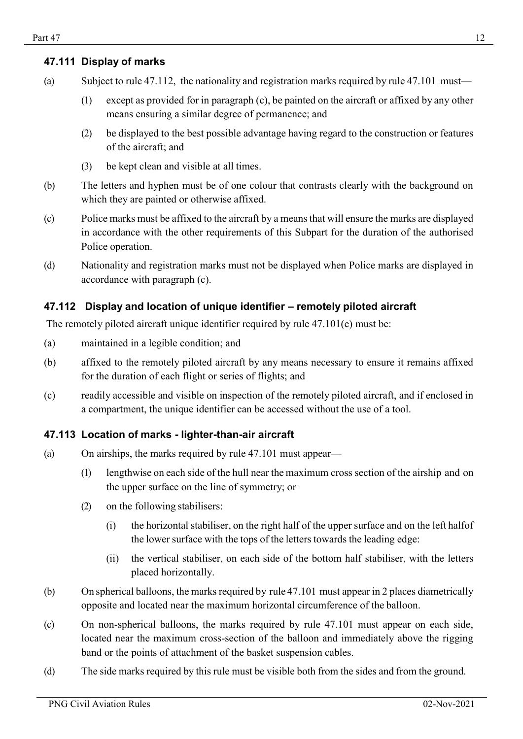## <span id="page-11-0"></span>**47.111 Display of marks**

- (a) Subject to rule 47.112, the nationality and registration marks required by rule 47.101 must—
	- (1) except as provided for in paragraph (c), be painted on the aircraft or affixed by any other means ensuring a similar degree of permanence; and
	- (2) be displayed to the best possible advantage having regard to the construction or features of the aircraft; and
	- (3) be kept clean and visible at all times.
- (b) The letters and hyphen must be of one colour that contrasts clearly with the background on which they are painted or otherwise affixed.
- (c) Police marks must be affixed to the aircraft by a means that will ensure the marks are displayed in accordance with the other requirements of this Subpart for the duration of the authorised Police operation.
- (d) Nationality and registration marks must not be displayed when Police marks are displayed in accordance with paragraph (c).

## **47.112 Display and location of unique identifier – remotely piloted aircraft**

The remotely piloted aircraft unique identifier required by rule 47.101(e) must be:

- (a) maintained in a legible condition; and
- (b) affixed to the remotely piloted aircraft by any means necessary to ensure it remains affixed for the duration of each flight or series of flights; and
- (c) readily accessible and visible on inspection of the remotely piloted aircraft, and if enclosed in a compartment, the unique identifier can be accessed without the use of a tool.

## <span id="page-11-1"></span>**47.113 Location of marks - lighter-than-air aircraft**

- (a) On airships, the marks required by rule 47.101 must appear—
	- (1) lengthwise on each side of the hull near the maximum cross section of the airship and on the upper surface on the line of symmetry; or
	- (2) on the following stabilisers:
		- (i) the horizontal stabiliser, on the right half of the upper surface and on the left halfof the lower surface with the tops of the letters towards the leading edge:
		- (ii) the vertical stabiliser, on each side of the bottom half stabiliser, with the letters placed horizontally.
- $(b)$  On spherical balloons, the marks required by rule 47.101 must appear in 2 places diametrically opposite and located near the maximum horizontal circumference of the balloon.
- (c) On non-spherical balloons, the marks required by rule 47.101 must appear on each side, located near the maximum cross-section of the balloon and immediately above the rigging band or the points of attachment of the basket suspension cables.
- (d) The side marks required by this rule must be visible both from the sides and from the ground.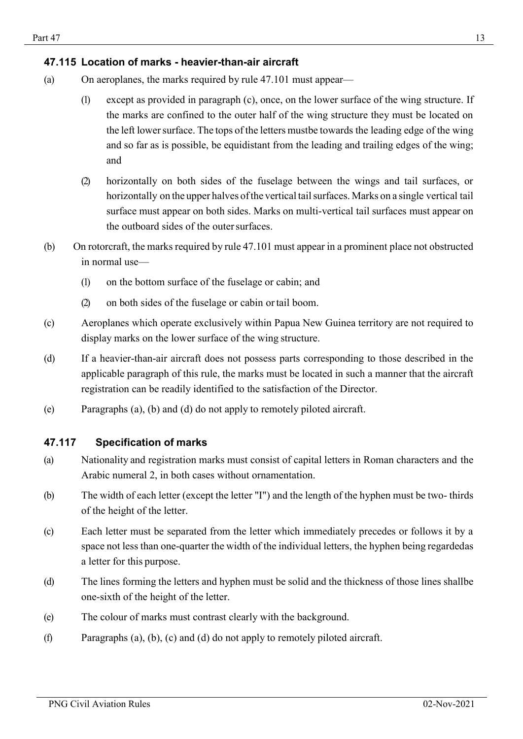## <span id="page-12-0"></span>**47.115 Location of marks - heavier-than-air aircraft**

- (a) On aeroplanes, the marks required by rule 47.101 must appear—
	- (1) except as provided in paragraph (c), once, on the lower surface of the wing structure. If the marks are confined to the outer half of the wing structure they must be located on the left lowersurface. The tops of the letters mustbe towards the leading edge of the wing and so far as is possible, be equidistant from the leading and trailing edges of the wing; and
	- (2) horizontally on both sides of the fuselage between the wings and tail surfaces, or horizontally on the upper halves of the vertical tail surfaces. Marks on a single vertical tail surface must appear on both sides. Marks on multi-vertical tail surfaces must appear on the outboard sides of the outer surfaces.
- (b) On rotorcraft, the marks required by rule 47.101 must appear in a prominent place not obstructed in normal use—
	- (1) on the bottom surface of the fuselage or cabin; and
	- (2) on both sides of the fuselage or cabin ortail boom.
- (c) Aeroplanes which operate exclusively within Papua New Guinea territory are not required to display marks on the lower surface of the wing structure.
- (d) If a heavier-than-air aircraft does not possess parts corresponding to those described in the applicable paragraph of this rule, the marks must be located in such a manner that the aircraft registration can be readily identified to the satisfaction of the Director.
- (e) Paragraphs (a), (b) and (d) do not apply to remotely piloted aircraft.

## <span id="page-12-1"></span>**47.117 Specification of marks**

- (a) Nationality and registration marks must consist of capital letters in Roman characters and the Arabic numeral 2, in both cases without ornamentation.
- (b) The width of each letter (except the letter "I") and the length of the hyphen must be two- thirds of the height of the letter.
- (c) Each letter must be separated from the letter which immediately precedes or follows it by a space not less than one-quarter the width of the individual letters, the hyphen being regardedas a letter for this purpose.
- (d) The lines forming the letters and hyphen must be solid and the thickness of those lines shallbe one-sixth of the height of the letter.
- (e) The colour of marks must contrast clearly with the background.
- (f) Paragraphs (a), (b), (c) and (d) do not apply to remotely piloted aircraft.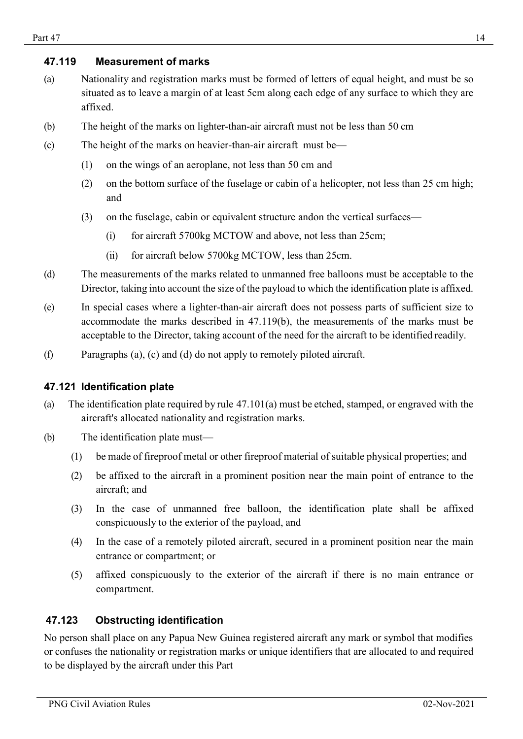## <span id="page-13-0"></span>**47.119 Measurement of marks**

- (a) Nationality and registration marks must be formed of letters of equal height, and must be so situated as to leave a margin of at least 5cm along each edge of any surface to which they are affixed.
- (b) The height of the marks on lighter-than-air aircraft must not be less than 50 cm
- (c) The height of the marks on heavier-than-air aircraft must be—
	- (1) on the wings of an aeroplane, not less than 50 cm and
	- (2) on the bottom surface of the fuselage or cabin of a helicopter, not less than 25 cm high; and
	- (3) on the fuselage, cabin or equivalent structure andon the vertical surfaces—
		- (i) for aircraft 5700kg MCTOW and above, not less than 25cm;
		- (ii) for aircraft below 5700kg MCTOW, less than 25cm.
- (d) The measurements of the marks related to unmanned free balloons must be acceptable to the Director, taking into account the size of the payload to which the identification plate is affixed.
- (e) In special cases where a lighter-than-air aircraft does not possess parts of sufficient size to accommodate the marks described in 47.119(b), the measurements of the marks must be acceptable to the Director, taking account of the need for the aircraft to be identified readily.
- (f) Paragraphs (a), (c) and (d) do not apply to remotely piloted aircraft.

#### <span id="page-13-1"></span>**47.121 Identification plate**

- (a) The identification plate required by rule 47.101(a) must be etched, stamped, or engraved with the aircraft's allocated nationality and registration marks.
- (b) The identification plate must—
	- (1) be made of fireproof metal or other fireproof material of suitable physical properties; and
	- (2) be affixed to the aircraft in a prominent position near the main point of entrance to the aircraft; and
	- (3) In the case of unmanned free balloon, the identification plate shall be affixed conspicuously to the exterior of the payload, and
	- (4) In the case of a remotely piloted aircraft, secured in a prominent position near the main entrance or compartment; or
	- (5) affixed conspicuously to the exterior of the aircraft if there is no main entrance or compartment.

## <span id="page-13-2"></span>**47.123 Obstructing identification**

No person shall place on any Papua New Guinea registered aircraft any mark or symbol that modifies or confuses the nationality or registration marks or unique identifiers that are allocated to and required to be displayed by the aircraft under this Part